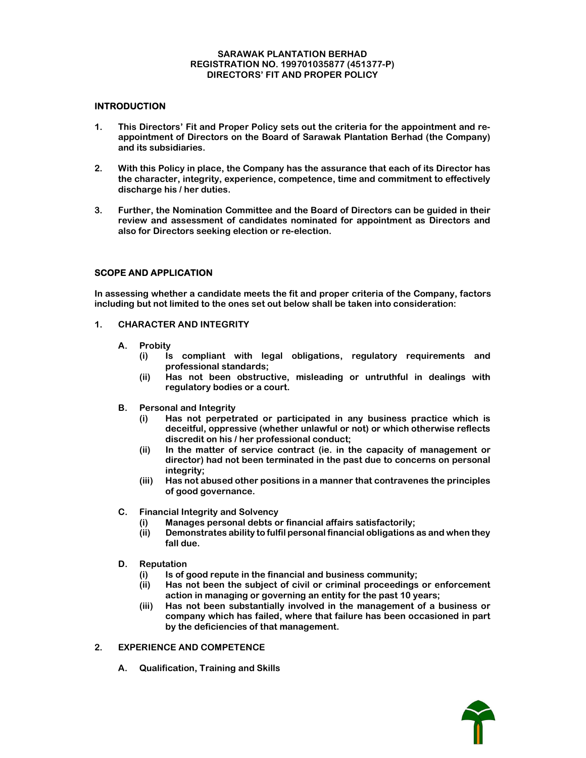#### SARAWAK PLANTATION BERHAD REGISTRATION NO. 199701035877 (451377-P) DIRECTORS' FIT AND PROPER POLICY

# **INTRODUCTION**

- 1. This Directors' Fit and Proper Policy sets out the criteria for the appointment and reappointment of Directors on the Board of Sarawak Plantation Berhad (the Company) and its subsidiaries.
- 2. With this Policy in place, the Company has the assurance that each of its Director has the character, integrity, experience, competence, time and commitment to effectively discharge his / her duties.
- 3. Further, the Nomination Committee and the Board of Directors can be guided in their review and assessment of candidates nominated for appointment as Directors and also for Directors seeking election or re-election.

# SCOPE AND APPLICATION

In assessing whether a candidate meets the fit and proper criteria of the Company, factors including but not limited to the ones set out below shall be taken into consideration:

- 1. CHARACTER AND INTEGRITY
	- A. Probity
		- (i) Is compliant with legal obligations, regulatory requirements and professional standards;
		- (ii) Has not been obstructive, misleading or untruthful in dealings with regulatory bodies or a court.
	- B. Personal and Integrity
		- (i) Has not perpetrated or participated in any business practice which is deceitful, oppressive (whether unlawful or not) or which otherwise reflects discredit on his / her professional conduct;
		- (ii) In the matter of service contract (ie. in the capacity of management or director) had not been terminated in the past due to concerns on personal integrity;
		- (iii) Has not abused other positions in a manner that contravenes the principles of good governance.
	- C. Financial Integrity and Solvency
		- (i) Manages personal debts or financial affairs satisfactorily;
		- (ii) Demonstrates ability to fulfil personal financial obligations as and when they fall due.
	- D. Reputation
		- Is of good repute in the financial and business community;
		- (ii) Has not been the subject of civil or criminal proceedings or enforcement action in managing or governing an entity for the past 10 years;
		- (iii) Has not been substantially involved in the management of a business or company which has failed, where that failure has been occasioned in part by the deficiencies of that management.
- 2. EXPERIENCE AND COMPETENCE
	- A. Qualification, Training and Skills